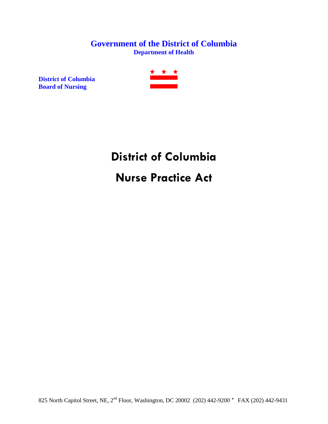### **Government of the District of Columbia Department of Health**

**District of Columbia Board of Nursing**



# **District of Columbia Nurse Practice Act**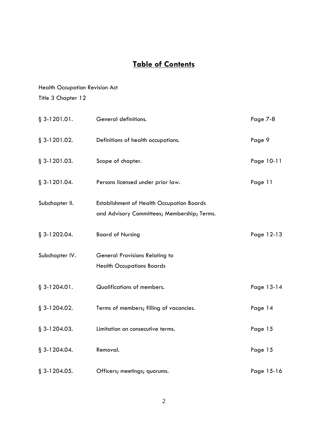### **Table of Contents**

### Health Occupation Revision Act Title 3 Chapter 12

§ 3-1201.01. General definitions. Page 7-8 § 3-1201.02. Definitions of health occupations. Page 9 § 3-1201.03. Scope of chapter. Page 10-11 § 3-1201.04. Persons licensed under prior law. Page 11 Subchapter II. Establishment of Health Occupation Boards and Advisory Committees; Membership; Terms. § 3-1202.04. Board of Nursing Page 12-13 Subchapter IV. General Provisions Relating to Health Occupations Boards § 3-1204.01. Qualifications of members. Page 13-14 § 3-1204.02. Terms of members; filling of vacancies. Page 14 § 3-1204.03. Limitation on consecutive terms. Page 15 § 3-1204.04. Removal. Page 15 § 3-1204.05. Officers; meetings; quorums. Page 15-16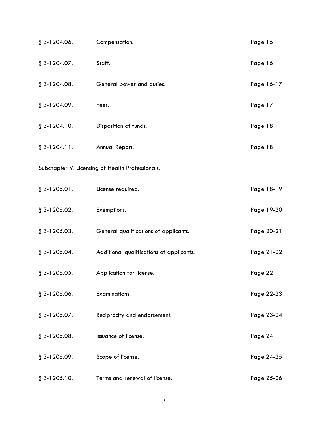| $§$ 3-1204.06.                                   | Compensation.                            | Page 16    |  |
|--------------------------------------------------|------------------------------------------|------------|--|
| $§$ 3-1204.07.                                   | Staff.                                   | Page 16    |  |
| $\S$ 3-1204.08.                                  | General power and duties.                | Page 16-17 |  |
| § 3-1204.09.                                     | Fees.                                    | Page 17    |  |
| $§$ 3-1204.10.                                   | Disposition of funds.                    | Page 18    |  |
| $§$ 3-1204.11.                                   | Annual Report.                           | Page 18    |  |
| Subchapter V. Licensing of Health Professionals. |                                          |            |  |
| $§ 3-1205.01.$                                   | License required.                        | Page 18-19 |  |
| $§$ 3-1205.02.                                   | Exemptions.                              | Page 19-20 |  |
| $§$ 3-1205.03.                                   | General qualifications of applicants.    | Page 20-21 |  |
| $\S$ 3-1205.04.                                  | Additional qualifications of applicants. | Page 21-22 |  |
| $§$ 3-1205.05.                                   | Application for license.                 | Page 22    |  |
| $§$ 3-1205.06.                                   | Examinations.                            | Page 22-23 |  |
| $§$ 3-1205.07.                                   | Reciprocity and endorsement.             | Page 23-24 |  |
| $§$ 3-1205.08.                                   | Issuance of license.                     | Page 24    |  |
| $§$ 3-1205.09.                                   | Scope of license.                        | Page 24-25 |  |
| $§$ 3-1205.10.                                   | Terms and renewal of license.            | Page 25-26 |  |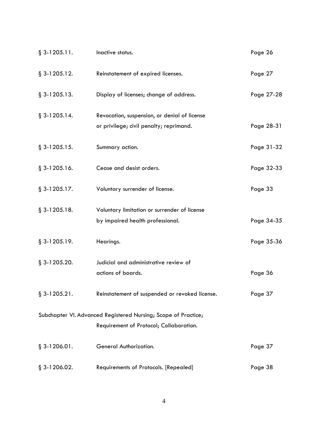| $§$ 3-1205.11.                                                 | Inactive status.                               | Page 26    |
|----------------------------------------------------------------|------------------------------------------------|------------|
| $§$ 3-1205.12.                                                 | Reinstatement of expired licenses.             | Page 27    |
| $§$ 3-1205.13.                                                 | Display of licenses; change of address.        | Page 27-28 |
| $\S$ 3-1205.14.                                                | Revocation, suspension, or denial of license   |            |
|                                                                | or privilege; civil penalty; reprimand.        | Page 28-31 |
| $§$ 3-1205.15.                                                 | Summary action.                                | Page 31-32 |
| $§$ 3-1205.16.                                                 | Cease and desist orders.                       | Page 32-33 |
| $§$ 3-1205.17.                                                 | Voluntary surrender of license.                | Page 33    |
| $§$ 3-1205.18.                                                 | Voluntary limitation or surrender of license   |            |
|                                                                | by impaired health professional.               | Page 34-35 |
| $§$ 3-1205.19.                                                 | Hearings.                                      | Page 35-36 |
| $§$ 3-1205.20.                                                 | Judicial and administrative review of          |            |
|                                                                | actions of boards.                             | Page 36    |
| $§$ 3-1205.21.                                                 | Reinstatement of suspended or revoked license. | Page 37    |
| Subchapter VI. Advanced Registered Nursing; Scope of Practice; |                                                |            |
|                                                                | Requirement of Protocol; Collaboration.        |            |
| $§$ 3-1206.01.                                                 | General Authorization.                         | Page 37    |
| $\S$ 3-1206.02.                                                | Requirements of Protocols. [Repealed]          | Page 38    |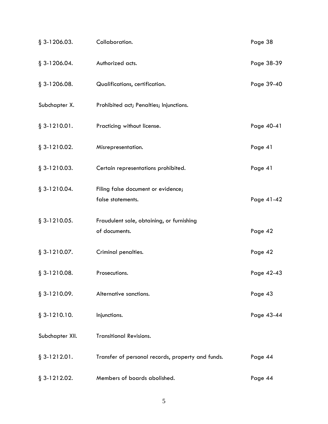| $§$ 3-1206.03.  | Collaboration.                                             | Page 38    |
|-----------------|------------------------------------------------------------|------------|
| $§$ 3-1206.04.  | Authorized acts.                                           | Page 38-39 |
| $§$ 3-1206.08.  | Qualifications, certification.                             | Page 39-40 |
| Subchapter X.   | Prohibited act; Penalties; Injunctions.                    |            |
| $§ 3-1210.01.$  | Practicing without license.                                | Page 40-41 |
| $§$ 3-1210.02.  | Misrepresentation.                                         | Page 41    |
| $§$ 3-1210.03.  | Certain representations prohibited.                        | Page 41    |
| $§$ 3-1210.04.  | Filing false document or evidence;<br>false statements.    | Page 41-42 |
| $§$ 3-1210.05.  | Fraudulent sale, obtaining, or furnishing<br>of documents. | Page 42    |
| $§$ 3-1210.07.  | Criminal penalties.                                        | Page 42    |
| $§$ 3-1210.08.  | Prosecutions.                                              | Page 42-43 |
| $§$ 3-1210.09.  | Alternative sanctions.                                     | Page 43    |
| $§$ 3-1210.10.  | Injunctions.                                               | Page 43-44 |
| Subchapter XII. | <b>Transitional Revisions.</b>                             |            |
| $§ 3-1212.01.$  | Transfer of personal records, property and funds.          | Page 44    |
| $§$ 3-1212.02.  | Members of boards abolished.                               | Page 44    |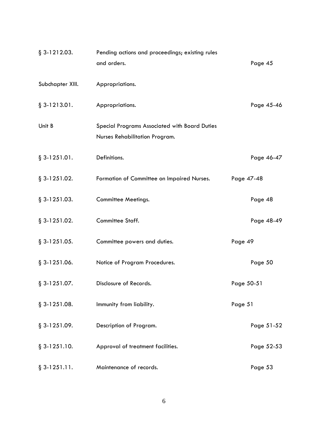| $§$ 3-1212.03.   | Pending actions and proceedings; existing rules                                 |            |
|------------------|---------------------------------------------------------------------------------|------------|
|                  | and orders.                                                                     | Page 45    |
| Subchapter XIII. | Appropriations.                                                                 |            |
| $§$ 3-1213.01.   | Appropriations.                                                                 | Page 45-46 |
| Unit B           | Special Programs Associated with Board Duties<br>Nurses Rehabilitation Program. |            |
| $§ 3-1251.01.$   | Definitions.                                                                    | Page 46-47 |
| $§$ 3-1251.02.   | Formation of Committee on Impaired Nurses.                                      | Page 47-48 |
| $§$ 3-1251.03.   | <b>Committee Meetings.</b>                                                      | Page 48    |
| $§$ 3-1251.02.   | Committee Staff.                                                                | Page 48-49 |
| $§$ 3-1251.05.   | Committee powers and duties.                                                    | Page 49    |
| $§$ 3-1251.06.   | Notice of Program Procedures.                                                   | Page 50    |
| $§$ 3-1251.07.   | Disclosure of Records.                                                          | Page 50-51 |
| $§$ 3-1251.08.   | Immunity from liability.                                                        | Page 51    |
| $§$ 3-1251.09.   | Description of Program.                                                         | Page 51-52 |
| $§$ 3-1251.10.   | Approval of treatment facilities.                                               | Page 52-53 |
| $§$ 3-1251.11.   | Maintenance of records.                                                         | Page 53    |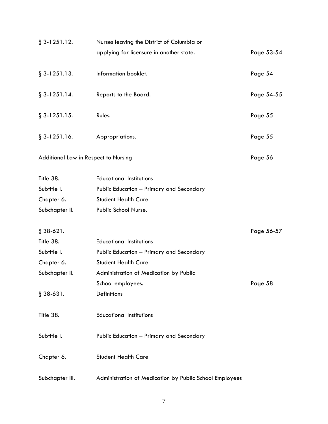| $§$ 3-1251.12.                       | Nurses leaving the District of Columbia or              |            |
|--------------------------------------|---------------------------------------------------------|------------|
|                                      | applying for licensure in another state.                | Page 53-54 |
| $§$ 3-1251.13.                       | Information booklet.                                    | Page 54    |
| $§$ 3-1251.14.                       | Reports to the Board.                                   | Page 54-55 |
| $§$ 3-1251.15.                       | Rules.                                                  | Page 55    |
| $§$ 3-1251.16.                       | Appropriations.                                         | Page 55    |
| Additional Law in Respect to Nursing |                                                         | Page 56    |
| Title 38.                            | <b>Educational Institutions</b>                         |            |
| Subtitle I.                          | Public Education - Primary and Secondary                |            |
| Chapter 6.                           | <b>Student Health Care</b>                              |            |
| Subchapter II.                       | Public School Nurse.                                    |            |
| $§ 38-621.$                          |                                                         | Page 56-57 |
| Title 38.                            | <b>Educational Institutions</b>                         |            |
| Subtitle I.                          | Public Education - Primary and Secondary                |            |
| Chapter 6.                           | <b>Student Health Care</b>                              |            |
| Subchapter II.                       | Administration of Medication by Public                  |            |
|                                      | School employees.                                       | Page 58    |
| $§ 38-631.$                          | Definitions                                             |            |
| Title 38.                            | <b>Educational Institutions</b>                         |            |
| Subtitle I.                          | Public Education - Primary and Secondary                |            |
| Chapter 6.                           | <b>Student Health Care</b>                              |            |
| Subchapter III.                      | Administration of Medication by Public School Employees |            |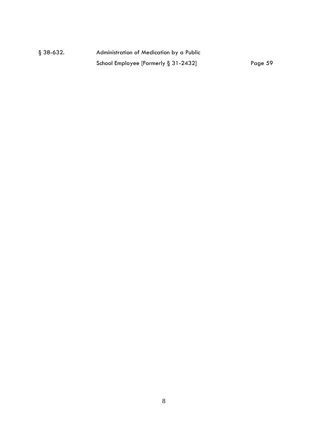| $§ 38-632.$ | Administration of Medication by a Public |         |
|-------------|------------------------------------------|---------|
|             | School Employee [Formerly $\S 31-2432$ ] | Page 59 |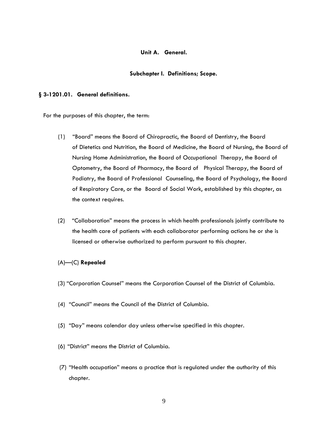#### **Unit A. General.**

#### **Subchapter I. Definitions; Scope.**

#### **§ 3-1201.01. General definitions.**

For the purposes of this chapter, the term:

- (1) "Board" means the Board of Chiropractic, the Board of Dentistry, the Board of Dietetics and Nutrition, the Board of Medicine, the Board of Nursing, the Board of Nursing Home Administration, the Board of Occupational Therapy, the Board of Optometry, the Board of Pharmacy, the Board of Physical Therapy, the Board of Podiatry, the Board of Professional Counseling, the Board of Psychology, the Board of Respiratory Care, or the Board of Social Work, established by this chapter, as the context requires.
- (2) "Collaboration" means the process in which health professionals jointly contribute to the health care of patients with each collaborator performing actions he or she is licensed or otherwise authorized to perform pursuant to this chapter.

#### (A)—(C) **Repealed**

- (3) "Corporation Counsel" means the Corporation Counsel of the District of Columbia.
- (4) "Council" means the Council of the District of Columbia.
- (5) "Day" means calendar day unless otherwise specified in this chapter.
- (6) "District" means the District of Columbia.
- (7) "Health occupation" means a practice that is regulated under the authority of this chapter.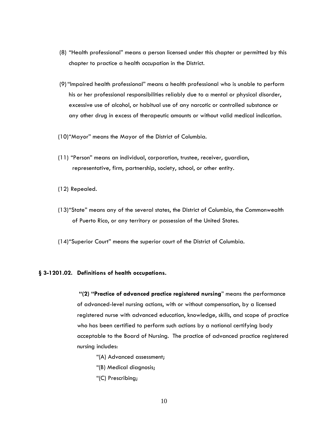- (8) "Health professional" means a person licensed under this chapter or permitted by this chapter to practice a health occupation in the District.
- (9)"Impaired health professional" means a health professional who is unable to perform his or her professional responsibilities reliably due to a mental or physical disorder, excessive use of alcohol, or habitual use of any narcotic or controlled substance or any other drug in excess of therapeutic amounts or without valid medical indication.
- (10)"Mayor" means the Mayor of the District of Columbia.
- (11) "Person" means an individual, corporation, trustee, receiver, guardian, representative, firm, partnership, society, school, or other entity.
- (12) Repealed.
- (13)"State" means any of the several states, the District of Columbia, the Commonwealth of Puerto Rico, or any territory or possession of the United States.
- (14)"Superior Court" means the superior court of the District of Columbia.

#### **§ 3-1201.02. Definitions of health occupations.**

**"(2) "Practice of advanced practice registered nursing**" means the performance of advanced-level nursing actions, with or without compensation, by a licensed registered nurse with advanced education, knowledge, skills, and scope of practice who has been certified to perform such actions by a national certifying body acceptable to the Board of Nursing. The practice of advanced practice registered nursing includes:

- "(A) Advanced assessment;
- "(B) Medical diagnosis;
- "(C) Prescribing;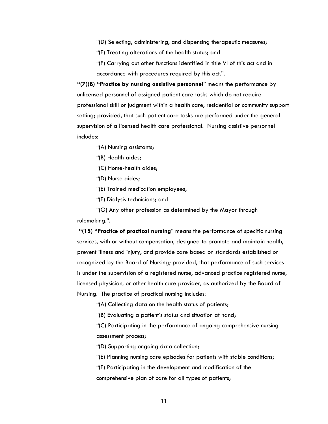"(D) Selecting, administering, and dispensing therapeutic measures;

"(E) Treating alterations of the health status; and

"(F) Carrying out other functions identified in title VI of this act and in accordance with procedures required by this act.".

**"(7)(B) "Practice by nursing assistive personnel**" means the performance by unlicensed personnel of assigned patient care tasks which do not require professional skill or judgment within a health care, residential or community support setting; provided, that such patient care tasks are performed under the general supervision of a licensed health care professional. Nursing assistive personnel includes:

"(A) Nursing assistants;

"(B) Health aides;

"(C) Home-health aides;

"(D) Nurse aides;

"(E) Trained medication employees;

"(F) Dialysis technicians; and

"(G) Any other profession as determined by the Mayor through rulemaking.".

**"(15) "Practice of practical nursing**" means the performance of specific nursing services, with or without compensation, designed to promote and maintain health, prevent illness and injury, and provide care based on standards established or recognized by the Board of Nursing; provided, that performance of such services is under the supervision of a registered nurse, advanced practice registered nurse, licensed physician, or other health care provider, as authorized by the Board of Nursing. The practice of practical nursing includes:

"(A) Collecting data on the health status of patients;

"(B) Evaluating a patient's status and situation at hand;

"(C) Participating in the performance of ongoing comprehensive nursing assessment process;

"(D) Supporting ongoing data collection;

"(E) Planning nursing care episodes for patients with stable conditions;

"(F) Participating in the development and modification of the

comprehensive plan of care for all types of patients;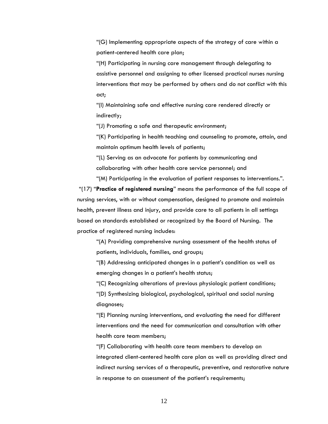"(G) Implementing appropriate aspects of the strategy of care within a patient-centered health care plan;

"(H) Participating in nursing care management through delegating to assistive personnel and assigning to other licensed practical nurses nursing interventions that may be performed by others and do not conflict with this act;

"(I) Maintaining safe and effective nursing care rendered directly or indirectly;

"(J) Promoting a safe and therapeutic environment;

"(K) Participating in health teaching and counseling to promote, attain, and maintain optimum health levels of patients;

"(L) Serving as an advocate for patients by communicating and collaborating with other health care service personnel; and

"(M) Participating in the evaluation of patient responses to interventions.". "(17) "**Practice of registered nursing**" means the performance of the full scope of nursing services, with or without compensation, designed to promote and maintain health, prevent illness and injury, and provide care to all patients in all settings based on standards established or recognized by the Board of Nursing. The practice of registered nursing includes:

"(A) Providing comprehensive nursing assessment of the health status of patients, individuals, families, and groups;

"(B) Addressing anticipated changes in a patient's condition as well as emerging changes in a patient's health status;

"(C) Recognizing alterations of previous physiologic patient conditions;

"(D) Synthesizing biological, psychological, spiritual and social nursing diagnoses;

"(E) Planning nursing interventions, and evaluating the need for different interventions and the need for communication and consultation with other health care team members;

"(F) Collaborating with health care team members to develop an integrated client-centered health care plan as well as providing direct and indirect nursing services of a therapeutic, preventive, and restorative nature in response to an assessment of the patient's requirements;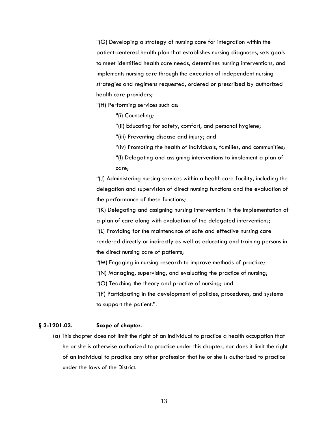"(G) Developing a strategy of nursing care for integration within the patient-centered health plan that establishes nursing diagnoses, sets goals to meet identified health care needs, determines nursing interventions, and implements nursing care through the execution of independent nursing strategies and regimens requested, ordered or prescribed by authorized health care providers;

"(H) Performing services such as:

"(i) Counseling;

"(ii) Educating for safety, comfort, and personal hygiene;

"(iii) Preventing disease and injury; and

- "(iv) Promoting the health of individuals, families, and communities;
- "(I) Delegating and assigning interventions to implement a plan of care;

"(J) Administering nursing services within a health care facility, including the delegation and supervision of direct nursing functions and the evaluation of the performance of these functions;

"(K) Delegating and assigning nursing interventions in the implementation of a plan of care along with evaluation of the delegated interventions; "(L) Providing for the maintenance of safe and effective nursing care rendered directly or indirectly as well as educating and training persons in the direct nursing care of patients;

"(M) Engaging in nursing research to improve methods of practice;

"(N) Managing, supervising, and evaluating the practice of nursing;

"(O) Teaching the theory and practice of nursing; and

"(P) Participating in the development of policies, procedures, and systems to support the patient.".

#### **§ 3-1201.03. Scope of chapter.**

(a) This chapter does not limit the right of an individual to practice a health occupation that he or she is otherwise authorized to practice under this chapter, nor does it limit the right of an individual to practice any other profession that he or she is authorized to practice under the laws of the District.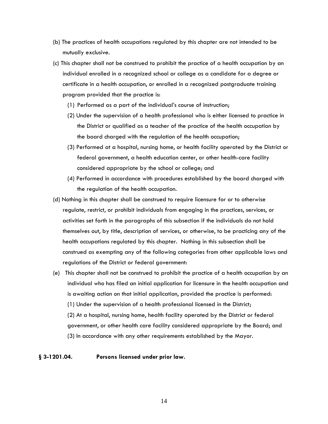- (b) The practices of health occupations regulated by this chapter are not intended to be mutually exclusive.
- (c) This chapter shall not be construed to prohibit the practice of a health occupation by an individual enrolled in a recognized school or college as a candidate for a degree or certificate in a health occupation, or enrolled in a recognized postgraduate training program provided that the practice is:
	- (1) Performed as a part of the individual's course of instruction;
	- (2) Under the supervision of a health professional who is either licensed to practice in the District or qualified as a teacher of the practice of the health occupation by the board charged with the regulation of the health occupation;
	- (3) Performed at a hospital, nursing home, or health facility operated by the District or federal government, a health education center, or other health-care facility considered appropriate by the school or college; and
	- (4) Performed in accordance with procedures established by the board charged with the regulation of the health occupation.
- (d) Nothing in this chapter shall be construed to require licensure for or to otherwise regulate, restrict, or prohibit individuals from engaging in the practices, services, or activities set forth in the paragraphs of this subsection if the individuals do not hold themselves out, by title, description of services, or otherwise, to be practicing any of the health occupations regulated by this chapter. Nothing in this subsection shall be construed as exempting any of the following categories from other applicable laws and regulations of the District or federal government:
- (e) This chapter shall not be construed to prohibit the practice of a health occupation by an individual who has filed an initial application for licensure in the health occupation and is awaiting action on that initial application, provided the practice is performed: (1) Under the supervision of a health professional licensed in the District; (2) At a hospital, nursing home, health facility operated by the District or federal government, or other health care facility considered appropriate by the Board; and (3) In accordance with any other requirements established by the Mayor.

#### **§ 3-1201.04. Persons licensed under prior law.**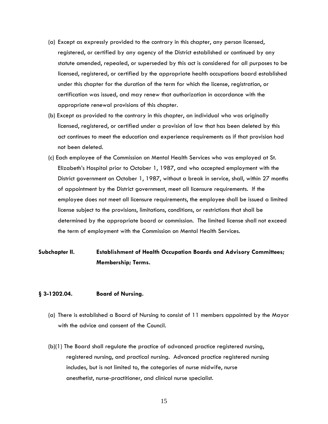- (a) Except as expressly provided to the contrary in this chapter, any person licensed, registered, or certified by any agency of the District established or continued by any statute amended, repealed, or superseded by this act is considered for all purposes to be licensed, registered, or certified by the appropriate health occupations board established under this chapter for the duration of the term for which the license, registration, or certification was issued, and may renew that authorization in accordance with the appropriate renewal provisions of this chapter.
- (b) Except as provided to the contrary in this chapter, an individual who was originally licensed, registered, or certified under a provision of law that has been deleted by this act continues to meet the education and experience requirements as if that provision had not been deleted.
- (c) Each employee of the Commission on Mental Health Services who was employed at St. Elizabeth's Hospital prior to October 1, 1987, and who accepted employment with the District government on October 1, 1987, without a break in service, shall, within 27 months of appointment by the District government, meet all licensure requirements. If the employee does not meet all licensure requirements, the employee shall be issued a limited license subject to the provisions, limitations, conditions, or restrictions that shall be determined by the appropriate board or commission. The limited license shall not exceed the term of employment with the Commission on Mental Health Services.

### **Subchapter II. Establishment of Health Occupation Boards and Advisory Committees; Membership; Terms.**

#### **§ 3-1202.04. Board of Nursing.**

- (a) There is established a Board of Nursing to consist of 11 members appointed by the Mayor with the advice and consent of the Council.
- (b)(1) The Board shall regulate the practice of advanced practice registered nursing, registered nursing, and practical nursing. Advanced practice registered nursing includes, but is not limited to, the categories of nurse midwife, nurse anesthetist, nurse-practitioner, and clinical nurse specialist.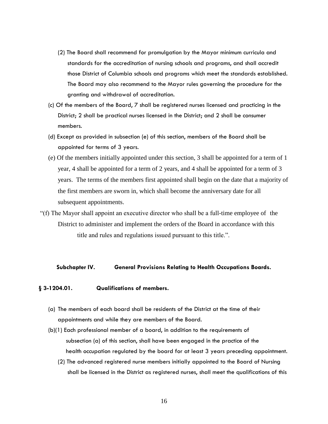- (2) The Board shall recommend for promulgation by the Mayor minimum curricula and standards for the accreditation of nursing schools and programs, and shall accredit those District of Columbia schools and programs which meet the standards established. The Board may also recommend to the Mayor rules governing the procedure for the granting and withdrawal of accreditation.
- (c) Of the members of the Board, 7 shall be registered nurses licensed and practicing in the District; 2 shall be practical nurses licensed in the District; and 2 shall be consumer members.
- (d) Except as provided in subsection (e) of this section, members of the Board shall be appointed for terms of 3 years.
- (e) Of the members initially appointed under this section, 3 shall be appointed for a term of 1 year, 4 shall be appointed for a term of 2 years, and 4 shall be appointed for a term of 3 years. The terms of the members first appointed shall begin on the date that a majority of the first members are sworn in, which shall become the anniversary date for all subsequent appointments.
- "(f) The Mayor shall appoint an executive director who shall be a full-time employee of the District to administer and implement the orders of the Board in accordance with this title and rules and regulations issued pursuant to this title.".

#### **Subchapter IV. General Provisions Relating to Health Occupations Boards.**

#### **§ 3-1204.01. Qualifications of members.**

- (a) The members of each board shall be residents of the District at the time of their appointments and while they are members of the Board.
- (b)(1) Each professional member of a board, in addition to the requirements of subsection (a) of this section, shall have been engaged in the practice of the health occupation regulated by the board for at least 3 years preceding appointment.
	- (2) The advanced registered nurse members initially appointed to the Board of Nursing shall be licensed in the District as registered nurses, shall meet the qualifications of this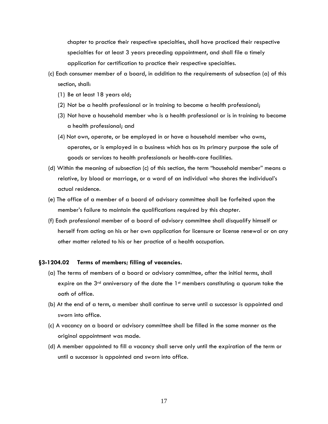chapter to practice their respective specialties, shall have practiced their respective specialties for at least 3 years preceding appointment, and shall file a timely application for certification to practice their respective specialties.

- (c) Each consumer member of a board, in addition to the requirements of subsection (a) of this section, shall:
	- (1) Be at least 18 years old;
	- (2) Not be a health professional or in training to become a health professional;
	- (3) Not have a household member who is a health professional or is in training to become a health professional; and
	- (4) Not own, operate, or be employed in or have a household member who owns, operates, or is employed in a business which has as its primary purpose the sale of goods or services to health professionals or health-care facilities.
- (d) Within the meaning of subsection (c) of this section, the term "household member" means a relative, by blood or marriage, or a ward of an individual who shares the individual's actual residence.
- (e) The office of a member of a board of advisory committee shall be forfeited upon the member's failure to maintain the qualifications required by this chapter.
- (f) Each professional member of a board of advisory committee shall disqualify himself or herself from acting on his or her own application for licensure or license renewal or on any other matter related to his or her practice of a health occupation.

#### **§3-1204.02 Terms of members; filling of vacancies.**

- (a) The terms of members of a board or advisory committee, after the initial terms, shall expire on the 3<sup>rd</sup> anniversary of the date the  $1<sup>st</sup>$  members constituting a quorum take the oath of office.
- (b) At the end of a term, a member shall continue to serve until a successor is appointed and sworn into office.
- (c) A vacancy on a board or advisory committee shall be filled in the same manner as the original appointment was made.
- (d) A member appointed to fill a vacancy shall serve only until the expiration of the term or until a successor is appointed and sworn into office.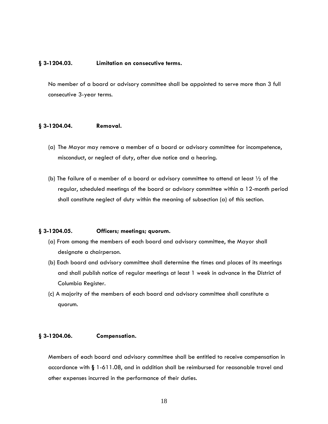#### **§ 3-1204.03. Limitation on consecutive terms.**

No member of a board or advisory committee shall be appointed to serve more than 3 full consecutive 3-year terms.

#### **§ 3-1204.04. Removal.**

- (a) The Mayor may remove a member of a board or advisory committee for incompetence, misconduct, or neglect of duty, after due notice and a hearing.
- (b) The failure of a member of a board or advisory committee to attend at least  $\frac{1}{2}$  of the regular, scheduled meetings of the board or advisory committee within a 12-month period shall constitute neglect of duty within the meaning of subsection (a) of this section.

#### **§ 3-1204.05. Officers; meetings; quorum.**

- (a) From among the members of each board and advisory committee, the Mayor shall designate a chairperson.
- (b) Each board and advisory committee shall determine the times and places of its meetings and shall publish notice of regular meetings at least 1 week in advance in the District of Columbia Register.
- (c) A majority of the members of each board and advisory committee shall constitute a quorum.

#### **§ 3-1204.06. Compensation.**

Members of each board and advisory committee shall be entitled to receive compensation in accordance with **§** 1-611.08, and in addition shall be reimbursed for reasonable travel and other expenses incurred in the performance of their duties.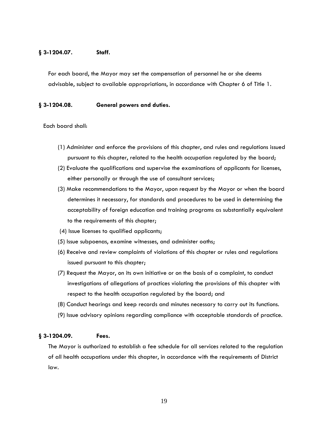#### **§ 3-1204.07. Staff.**

For each board, the Mayor may set the compensation of personnel he or she deems advisable, subject to available appropriations, in accordance with Chapter 6 of Title 1.

#### **§ 3-1204.08. General powers and duties.**

Each board shall:

- (1) Administer and enforce the provisions of this chapter, and rules and regulations issued pursuant to this chapter, related to the health occupation regulated by the board;
- (2) Evaluate the qualifications and supervise the examinations of applicants for licenses, either personally or through the use of consultant services;
- (3) Make recommendations to the Mayor, upon request by the Mayor or when the board determines it necessary, for standards and procedures to be used in determining the acceptability of foreign education and training programs as substantially equivalent to the requirements of this chapter;
- (4) Issue licenses to qualified applicants;
- (5) Issue subpoenas, examine witnesses, and administer oaths;
- (6) Receive and review complaints of violations of this chapter or rules and regulations issued pursuant to this chapter;
- (7) Request the Mayor, on its own initiative or on the basis of a complaint, to conduct investigations of allegations of practices violating the provisions of this chapter with respect to the health occupation regulated by the board; and
- (8) Conduct hearings and keep records and minutes necessary to carry out its functions.
- (9) Issue advisory opinions regarding compliance with acceptable standards of practice.

#### **§ 3-1204.09. Fees.**

The Mayor is authorized to establish a fee schedule for all services related to the regulation of all health occupations under this chapter, in accordance with the requirements of District law.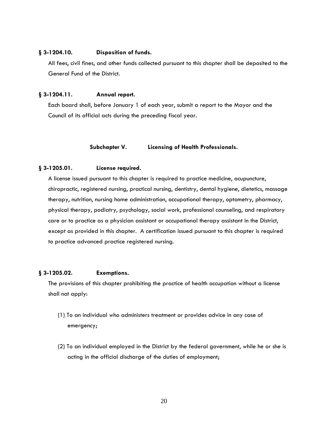#### **§ 3-1204.10. Disposition of funds.**

All fees, civil fines, and other funds collected pursuant to this chapter shall be deposited to the General Fund of the District.

#### **§ 3-1204.11. Annual report.**

Each board shall, before January 1 of each year, submit a report to the Mayor and the Council of its official acts during the preceding fiscal year.

#### **Subchapter V. Licensing of Health Professionals.**

#### **§ 3-1205.01. License required.**

A license issued pursuant to this chapter is required to practice medicine, acupuncture, chiropractic, registered nursing, practical nursing, dentistry, dental hygiene, dietetics, massage therapy, nutrition, nursing home administration, occupational therapy, optometry, pharmacy, physical therapy, podiatry, psychology, social work, professional counseling, and respiratory care or to practice as a physician assistant or occupational therapy assistant in the District, except as provided in this chapter. A certification issued pursuant to this chapter is required to practice advanced practice registered nursing.

#### **§ 3-1205.02. Exemptions.**

The provisions of this chapter prohibiting the practice of health occupation without a license shall not apply:

- (1) To an individual who administers treatment or provides advice in any case of emergency;
- (2) To an individual employed in the District by the federal government, while he or she is acting in the official discharge of the duties of employment;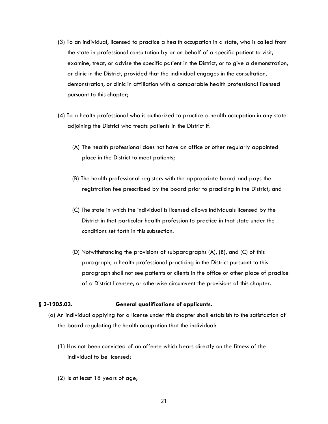- (3) To an individual, licensed to practice a health occupation in a state, who is called from the state in professional consultation by or on behalf of a specific patient to visit, examine, treat, or advise the specific patient in the District, or to give a demonstration, or clinic in the District, provided that the individual engages in the consultation, demonstration, or clinic in affiliation with a comparable health professional licensed pursuant to this chapter;
- (4) To a health professional who is authorized to practice a health occupation in any state adjoining the District who treats patients in the District if:
	- (A) The health professional does not have an office or other regularly appointed place in the District to meet patients;
	- (B) The health professional registers with the appropriate board and pays the registration fee prescribed by the board prior to practicing in the District; and
	- (C) The state in which the individual is licensed allows individuals licensed by the District in that particular health profession to practice in that state under the conditions set forth in this subsection.
	- (D) Notwithstanding the provisions of subparagraphs (A), (B), and (C) of this paragraph, a health professional practicing in the District pursuant to this paragraph shall not see patients or clients in the office or other place of practice of a District licensee, or otherwise circumvent the provisions of this chapter.

#### **§ 3-1205.03. General qualifications of applicants.**

- (a) An individual applying for a license under this chapter shall establish to the satisfaction of the board regulating the health occupation that the individual:
	- (1) Has not been convicted of an offense which bears directly on the fitness of the individual to be licensed;
	- (2) Is at least 18 years of age;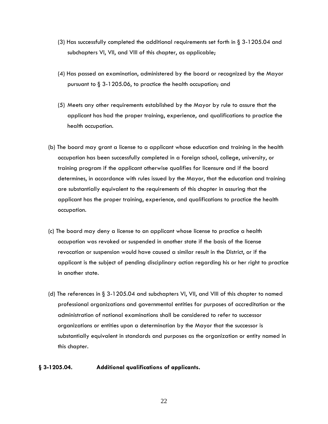- (3) Has successfully completed the additional requirements set forth in § 3-1205.04 and subchapters VI, VII, and VIII of this chapter, as applicable;
- (4) Has passed an examination, administered by the board or recognized by the Mayor pursuant to § 3-1205.06, to practice the health occupation; and
- (5) Meets any other requirements established by the Mayor by rule to assure that the applicant has had the proper training, experience, and qualifications to practice the health occupation.
- (b) The board may grant a license to a applicant whose education and training in the health occupation has been successfully completed in a foreign school, college, university, or training program if the applicant otherwise qualifies for licensure and if the board determines, in accordance with rules issued by the Mayor, that the education and training are substantially equivalent to the requirements of this chapter in assuring that the applicant has the proper training, experience, and qualifications to practice the health occupation.
- (c) The board may deny a license to an applicant whose license to practice a health occupation was revoked or suspended in another state if the basis of the license revocation or suspension would have caused a similar result in the District, or if the applicant is the subject of pending disciplinary action regarding his or her right to practice in another state.
- (d) The references in § 3-1205.04 and subchapters VI, VII, and VIII of this chapter to named professional organizations and governmental entities for purposes of accreditation or the administration of national examinations shall be considered to refer to successor organizations or entities upon a determination by the Mayor that the successor is substantially equivalent in standards and purposes as the organization or entity named in this chapter.

#### **§ 3-1205.04. Additional qualifications of applicants.**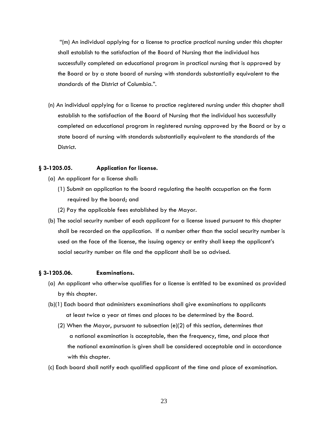"(m) An individual applying for a license to practice practical nursing under this chapter shall establish to the satisfaction of the Board of Nursing that the individual has successfully completed an educational program in practical nursing that is approved by the Board or by a state board of nursing with standards substantially equivalent to the standards of the District of Columbia.".

(n) An individual applying for a license to practice registered nursing under this chapter shall establish to the satisfaction of the Board of Nursing that the individual has successfully completed an educational program in registered nursing approved by the Board or by a state board of nursing with standards substantially equivalent to the standards of the District.

#### **§ 3-1205.05. Application for license.**

- (a) An applicant for a license shall:
	- (1) Submit an application to the board regulating the health occupation on the form required by the board; and
	- (2) Pay the applicable fees established by the Mayor.
- (b) The social security number of each applicant for a license issued pursuant to this chapter shall be recorded on the application. If a number other than the social security number is used on the face of the license, the issuing agency or entity shall keep the applicant's social security number on file and the applicant shall be so advised.

#### **§ 3-1205.06. Examinations.**

- (a) An applicant who otherwise qualifies for a license is entitled to be examined as provided by this chapter.
- (b)(1) Each board that administers examinations shall give examinations to applicants at least twice a year at times and places to be determined by the Board.
	- (2) When the Mayor, pursuant to subsection (e)(2) of this section, determines that a national examination is acceptable, then the frequency, time, and place that the national examination is given shall be considered acceptable and in accordance with this chapter.
- (c) Each board shall notify each qualified applicant of the time and place of examination.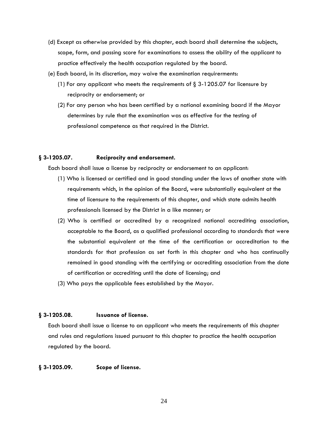- (d) Except as otherwise provided by this chapter, each board shall determine the subjects, scope, form, and passing score for examinations to assess the ability of the applicant to practice effectively the health occupation regulated by the board.
- (e) Each board, in its discretion, may waive the examination requirerments:
	- (1) For any applicant who meets the requirements of  $\S 3-1205.07$  for licensure by reciprocity or endorsement; or
	- (2) For any person who has been certified by a national examining board if the Mayor determines by rule that the examination was as effective for the testing of professional competence as that required in the District.

#### **§ 3-1205.07. Reciprocity and endorsement.**

Each board shall issue a license by reciprocity or endorsement to an applicant:

- (1) Who is licensed or certified and in good standing under the laws of another state with requirements which, in the opinion of the Board, were substantially equivalent at the time of licensure to the requirements of this chapter, and which state admits health professionals licensed by the District in a like manner; or
- (2) Who is certified or accredited by a recognized national accrediting association, acceptable to the Board, as a qualified professional according to standards that were the substantial equivalent at the time of the certification or accreditation to the standards for that profession as set forth in this chapter and who has continually remained in good standing with the certifying or accrediting association from the date of certification or accrediting until the date of licensing; and
- (3) Who pays the applicable fees established by the Mayor.

#### **§ 3-1205.08. Issuance of license.**

Each board shall issue a license to an applicant who meets the requirements of this chapter and rules and regulations issued pursuant to this chapter to practice the health occupation regulated by the board.

#### **§ 3-1205.09. Scope of license.**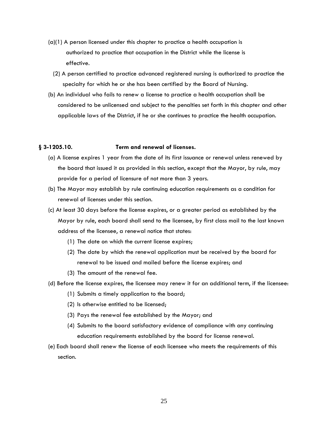- (a)(1) A person licensed under this chapter to practice a health occupation is authorized to practice that occupation in the District while the license is effective.
	- (2) A person certified to practice advanced registered nursing is authorized to practice the specialty for which he or she has been certified by the Board of Nursing.
- (b) An individual who fails to renew a license to practice a health occupation shall be considered to be unlicensed and subject to the penalties set forth in this chapter and other applicable laws of the District, if he or she continues to practice the health occupation.

#### **§ 3-1205.10. Term and renewal of licenses.**

- (a) A license expires 1 year from the date of its first issuance or renewal unless renewed by the board that issued it as provided in this section, except that the Mayor, by rule, may provide for a period of licensure of not more than 3 years.
- (b) The Mayor may establish by rule continuing education requirements as a condition for renewal of licenses under this section.
- (c) At least 30 days before the license expires, or a greater period as established by the Mayor by rule, each board shall send to the licensee, by first class mail to the last known address of the licensee, a renewal notice that states:
	- (1) The date on which the current license expires;
	- (2) The date by which the renewal application must be received by the board for renewal to be issued and mailed before the license expires; and
	- (3) The amount of the renewal fee.
- (d) Before the license expires, the licensee may renew it for an additional term, if the licensee:
	- (1) Submits a timely application to the board;
	- (2) Is otherwise entitled to be licensed;
	- (3) Pays the renewal fee established by the Mayor; and
	- (4) Submits to the board satisfactory evidence of compliance with any continuing education requirements established by the board for license renewal.
- (e) Each board shall renew the license of each licensee who meets the requirements of this section.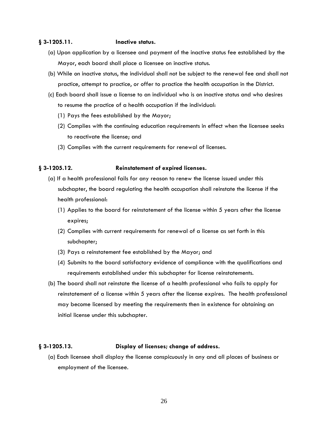#### **§ 3-1205.11. Inactive status.**

- (a) Upon application by a licensee and payment of the inactive status fee established by the Mayor, each board shall place a licensee on inactive status.
- (b) While on inactive status, the individual shall not be subject to the renewal fee and shall not practice, attempt to practice, or offer to practice the health occupation in the District.
- (c) Each board shall issue a license to an individual who is on inactive status and who desires to resume the practice of a health occupation if the individual:
	- (1) Pays the fees established by the Mayor;
	- (2) Complies with the continuing education requirements in effect when the licensee seeks to reactivate the license; and
	- (3) Complies with the current requirements for renewal of licenses.

#### **§ 3-1205.12. Reinstatement of expired licenses.**

- (a) If a health professional fails for any reason to renew the license issued under this subchapter, the board regulating the health occupation shall reinstate the license if the health professional:
	- (1) Applies to the board for reinstatement of the license within 5 years after the license expires;
	- (2) Complies with current requirements for renewal of a license as set forth in this subchapter;
	- (3) Pays a reinstatement fee established by the Mayor; and
	- (4) Submits to the board satisfactory evidence of compliance with the qualifications and requirements established under this subchapter for license reinstatements.
- (b) The board shall not reinstate the license of a health professional who fails to apply for reinstatement of a license within 5 years after the license expires. The health professional may become licensed by meeting the requirements then in existence for obtaining an initial license under this subchapter.

#### **§ 3-1205.13. Display of licenses; change of address.**

(a) Each licensee shall display the license conspicuously in any and all places of business or employment of the licensee.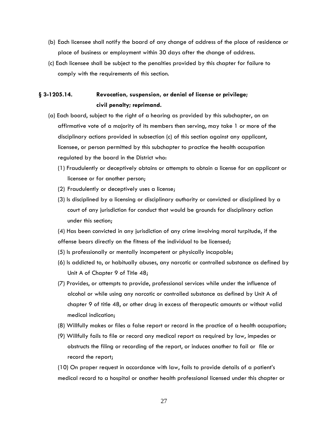- (b) Each licensee shall notify the board of any change of address of the place of residence or place of business or employment within 30 days after the change of address.
- (c) Each licensee shall be subject to the penalties provided by this chapter for failure to comply with the requirements of this section.

### **§ 3-1205.14. Revocation, suspension, or denial of license or privilege; civil penalty; reprimand.**

- (a) Each board, subject to the right of a hearing as provided by this subchapter, on an affirmative vote of a majority of its members then serving, may take 1 or more of the disciplinary actions provided in subsection (c) of this section against any applicant, licensee, or person permitted by this subchapter to practice the health occupation regulated by the board in the District who:
	- (1) Fraudulently or deceptively obtains or attempts to obtain a license for an applicant or licensee or for another person;
	- (2) Fraudulently or deceptively uses a license;
	- (3) Is disciplined by a licensing or disciplinary authority or convicted or disciplined by a court of any jurisdiction for conduct that would be grounds for disciplinary action under this section;

(4) Has been convicted in any jurisdiction of any crime involving moral turpitude, if the offense bears directly on the fitness of the individual to be licensed;

- (5) Is professionally or mentally incompetent or physically incapable;
- (6) Is addicted to, or habitually abuses, any narcotic or controlled substance as defined by Unit A of Chapter 9 of Title 48;
- (7) Provides, or attempts to provide, professional services while under the influence of alcohol or while using any narcotic or controlled substance as defined by Unit A of chapter 9 of title 48, or other drug in excess of therapeutic amounts or without valid medical indication;
- (8) Willfully makes or files a false report or record in the practice of a health occupation;
- (9) Willfully fails to file or record any medical report as required by law, impedes or obstructs the filing or recording of the report, or induces another to fail or file or record the report;

(10) On proper request in accordance with law, fails to provide details of a patient's medical record to a hospital or another health professional licensed under this chapter or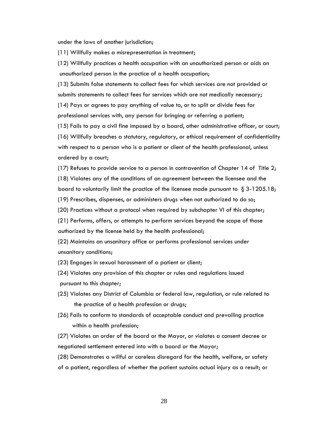under the laws of another jurisdiction;

(11) Willfully makes a misrepresentation in treatment;

(12) Willfully practices a health occupation with an unauthorized person or aids an unauthorized person in the practice of a health occupation;

(13) Submits false statements to collect fees for which services are not provided or submits statements to collect fees for services which are not medically necessary; (14) Pays or agrees to pay anything of value to, or to split or divide fees for professional services with, any person for bringing or referring a patient;

(15) Fails to pay a civil fine imposed by a board, other administrative officer, or court;

(16) Willfully breaches a statutory, regulatory, or ethical requirement of confidentiality with respect to a person who is a patient or client of the health professional, unless ordered by a court;

(17) Refuses to provide service to a person in contravention of Chapter 14 of Title 2; (18) Violates any of the conditions of an agreement between the licensee and the board to voluntarily limit the practice of the licensee made pursuant to  $\S 3-1205.18$ ;

(19) Prescribes, dispenses, or administers drugs when not authorized to do so;

(20) Practices without a protocol when required by subchapter VI of this chapter;

(21) Performs, offers, or attempts to perform services beyond the scope of those authorized by the license held by the health professional;

(22) Maintains an unsanitary office or performs professional services under unsanitary conditions;

(23) Engages in sexual harassment of a patient or client;

(24) Violates any provision of this chapter or rules and regulations issued pursuant to this chapter;

- (25) Violates any District of Columbia or federal law, regulation, or rule related to the practice of a health profession or drugs;
- (26) Fails to conform to standards of acceptable conduct and prevailing practice within a health profession;

(27) Violates an order of the board or the Mayor, or violates a consent decree or negotiated settlement entered into with a board or the Mayor;

(28) Demonstrates a willful or careless disregard for the health, welfare, or safety of a patient, regardless of whether the patient sustains actual injury as a result; or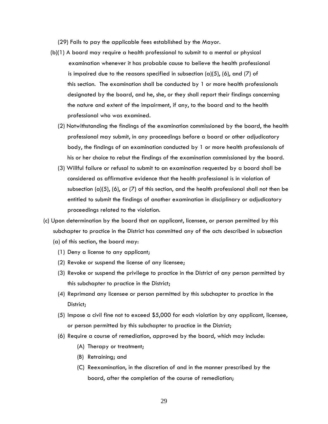(29) Fails to pay the applicable fees established by the Mayor.

- (b)(1) A board may require a health professional to submit to a mental or physical examination whenever it has probable cause to believe the health professional is impaired due to the reasons specified in subsection  $(a)(5)$ ,  $(b)$ , and  $(7)$  of this section. The examination shall be conducted by 1 or more health professionals designated by the board, and he, she, or they shall report their findings concerning the nature and extent of the impairment, if any, to the board and to the health professional who was examined.
	- (2) Notwithstanding the findings of the examination commissioned by the board, the health professional may submit, in any proceedings before a board or other adjudicatory body, the findings of an examination conducted by 1 or more health professionals of his or her choice to rebut the findings of the examination commissioned by the board.
	- (3) Willful failure or refusal to submit to an examination requested by a board shall be considered as affirmative evidence that the health professional is in violation of subsection  $(a)(5)$ ,  $(b)$ , or  $(7)$  of this section, and the health professional shall not then be entitled to submit the findings of another examination in disciplinary or adjudicatory proceedings related to the violation.
- (c) Upon determination by the board that an applicant, licensee, or person permitted by this subchapter to practice in the District has committed any of the acts described in subsection (a) of this section, the board may:
	- (1) Deny a license to any applicant;
	- (2) Revoke or suspend the license of any licensee;
	- (3) Revoke or suspend the privilege to practice in the District of any person permitted by this subchapter to practice in the District;
	- (4) Reprimand any licensee or person permitted by this subchapter to practice in the District;
	- (5) Impose a civil fine not to exceed \$5,000 for each violation by any applicant, licensee, or person permitted by this subchapter to practice in the District;
	- (6) Require a course of remediation, approved by the board, which may include:
		- (A) Therapy or treatment;
		- (B) Retraining; and
		- (C) Reexamination, in the discretion of and in the manner prescribed by the board, after the completion of the course of remediation;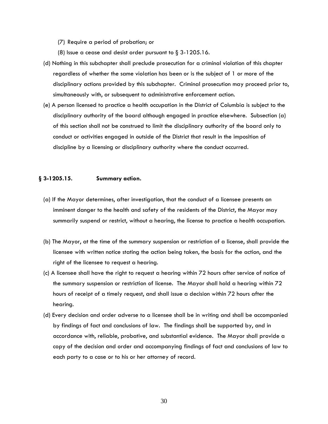- (7) Require a period of probation; or
- (8) Issue a cease and desist order pursuant to § 3-1205.16.
- (d) Nothing in this subchapter shall preclude prosecution for a criminal violation of this chapter regardless of whether the same violation has been or is the subject of 1 or more of the disciplinary actions provided by this subchapter. Criminal prosecution may proceed prior to, simultaneously with, or subsequent to administrative enforcement action.
- (e) A person licensed to practice a health occupation in the District of Columbia is subject to the disciplinary authority of the board although engaged in practice elsewhere. Subsection (a) of this section shall not be construed to limit the disciplinary authority of the board only to conduct or activities engaged in outside of the District that result in the imposition of discipline by a licensing or disciplinary authority where the conduct occurred.

#### **§ 3-1205.15. Summary action.**

- (a) If the Mayor determines, after investigation, that the conduct of a licensee presents an imminent danger to the health and safety of the residents of the District, the Mayor may summarily suspend or restrict, without a hearing, the license to practice a health occupation.
- (b) The Mayor, at the time of the summary suspension or restriction of a license, shall provide the licensee with written notice stating the action being taken, the basis for the action, and the right of the licensee to request a hearing.
- (c) A licensee shall have the right to request a hearing within 72 hours after service of notice of the summary suspension or restriction of license. The Mayor shall hold a hearing within 72 hours of receipt of a timely request, and shall issue a decision within 72 hours after the hearing.
- (d) Every decision and order adverse to a licensee shall be in writing and shall be accompanied by findings of fact and conclusions of law. The findings shall be supported by, and in accordance with, reliable, probative, and substantial evidence. The Mayor shall provide a copy of the decision and order and accompanying findings of fact and conclusions of law to each party to a case or to his or her attorney of record.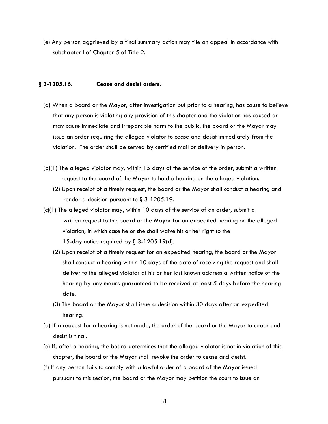(e) Any person aggrieved by a final summary action may file an appeal in accordance with subchapter I of Chapter 5 of Title 2.

#### **§ 3-1205.16. Cease and desist orders.**

- (a) When a board or the Mayor, after investigation but prior to a hearing, has cause to believe that any person is violating any provision of this chapter and the violation has caused or may cause immediate and irreparable harm to the public, the board or the Mayor may issue an order requiring the alleged violator to cease and desist immediately from the violation. The order shall be served by certified mail or delivery in person.
- (b)(1) The alleged violator may, within 15 days of the service of the order, submit a written request to the board of the Mayor to hold a hearing on the alleged violation.
	- (2) Upon receipt of a timely request, the board or the Mayor shall conduct a hearing and render a decision pursuant to  $\S$  3-1205.19.
- (c)(1) The alleged violator may, within 10 days of the service of an order, submit a written request to the board or the Mayor for an expedited hearing on the alleged violation, in which case he or she shall waive his or her right to the 15-day notice required by § 3-1205.19(d).
	- (2) Upon receipt of a timely request for an expedited hearing, the board or the Mayor shall conduct a hearing within 10 days of the date of receiving the request and shall deliver to the alleged violator at his or her last known address a written notice of the hearing by any means guaranteed to be received at least 5 days before the hearing date.
	- (3) The board or the Mayor shall issue a decision within 30 days after an expedited hearing.
- (d) If a request for a hearing is not made, the order of the board or the Mayor to cease and desist is final.
- (e) If, after a hearing, the board determines that the alleged violator is not in violation of this chapter, the board or the Mayor shall revoke the order to cease and desist.
- (f) If any person fails to comply with a lawful order of a board of the Mayor issued pursuant to this section, the board or the Mayor may petition the court to issue an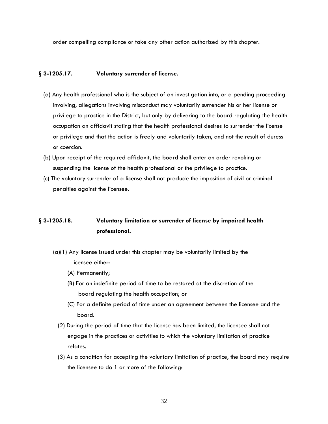order compelling compliance or take any other action authorized by this chapter.

#### **§ 3-1205.17. Voluntary surrender of license.**

- (a) Any health professional who is the subject of an investigation into, or a pending proceeding involving, allegations involving misconduct may voluntarily surrender his or her license or privilege to practice in the District, but only by delivering to the board regulating the health occupation an affidavit stating that the health professional desires to surrender the license or privilege and that the action is freely and voluntarily taken, and not the result of duress or coercion.
- (b) Upon receipt of the required affidavit, the board shall enter an order revoking or suspending the license of the health professional or the privilege to practice.
- (c) The voluntary surrender of a license shall not preclude the imposition of civil or criminal penalties against the licensee.

### **§ 3-1205.18. Voluntary limitation or surrender of license by impaired health professional.**

- (a)(1) Any license issued under this chapter may be voluntarily limited by the licensee either:
	- (A) Permanently;
	- (B) For an indefinite period of time to be restored at the discretion of the board regulating the health occupation; or
	- (C) For a definite period of time under an agreement between the licensee and the board.
	- (2) During the period of time that the license has been limited, the licensee shall not engage in the practices or activities to which the voluntary limitation of practice relates.
	- (3) As a condition for accepting the voluntary limitation of practice, the board may require the licensee to do 1 or more of the following: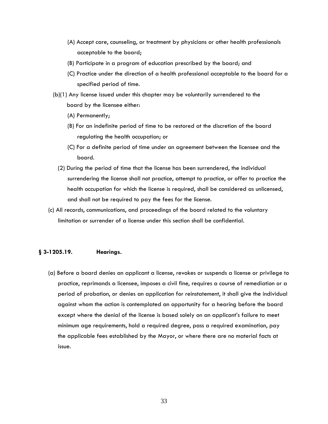- (A) Accept care, counseling, or treatment by physicians or other health professionals acceptable to the board;
- (B) Participate in a program of education prescribed by the board; and
- (C) Practice under the direction of a health professional acceptable to the board for a specified period of time.
- (b)(1) Any license issued under this chapter may be voluntarily surrendered to the board by the licensee either:
	- (A) Permanently;
	- (B) For an indefinite period of time to be restored at the discretion of the board regulating the health occupation; or
	- (C) For a definite period of time under an agreement between the licensee and the board.
	- (2) During the period of time that the license has been surrendered, the individual surrendering the license shall not practice, attempt to practice, or offer to practice the health occupation for which the license is required, shall be considered as unlicensed, and shall not be required to pay the fees for the license.
- (c) All records, communications, and proceedings of the board related to the voluntary limitation or surrender of a license under this section shall be confidential.

#### **§ 3-1205.19. Hearings.**

(a) Before a board denies an applicant a license, revokes or suspends a license or privilege to practice, reprimands a licensee, imposes a civil fine, requires a course of remediation or a period of probation, or denies an application for reinstatement, it shall give the individual against whom the action is contemplated an opportunity for a hearing before the board except where the denial of the license is based solely on an applicant's failure to meet minimum age requirements, hold a required degree, pass a required examination, pay the applicable fees established by the Mayor, or where there are no material facts at issue.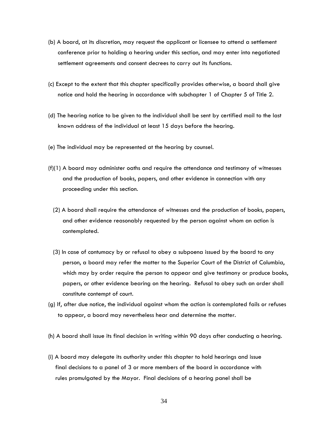- (b) A board, at its discretion, may request the applicant or licensee to attend a settlement conference prior to holding a hearing under this section, and may enter into negotiated settlement agreements and consent decrees to carry out its functions.
- (c) Except to the extent that this chapter specifically provides otherwise, a board shall give notice and hold the hearing in accordance with subchapter 1 of Chapter 5 of Title 2.
- (d) The hearing notice to be given to the individual shall be sent by certified mail to the last known address of the individual at least 15 days before the hearing.
- (e) The individual may be represented at the hearing by counsel.
- (f)(1) A board may administer oaths and require the attendance and testimony of witnesses and the production of books, papers, and other evidence in connection with any proceeding under this section.
	- (2) A board shall require the attendance of witnesses and the production of books, papers, and other evidence reasonably requested by the person against whom an action is contemplated.
	- (3) In case of contumacy by or refusal to obey a subpoena issued by the board to any person, a board may refer the matter to the Superior Court of the District of Columbia, which may by order require the person to appear and give testimony or produce books, papers, or other evidence bearing on the hearing. Refusal to obey such an order shall constitute contempt of court.
- (g) If, after due notice, the individual against whom the action is contemplated fails or refuses to appear, a board may nevertheless hear and determine the matter.
- (h) A board shall issue its final decision in writing within 90 days after conducting a hearing.
- (i) A board may delegate its authority under this chapter to hold hearings and issue final decisions to a panel of 3 or more members of the board in accordance with rules promulgated by the Mayor. Final decisions of a hearing panel shall be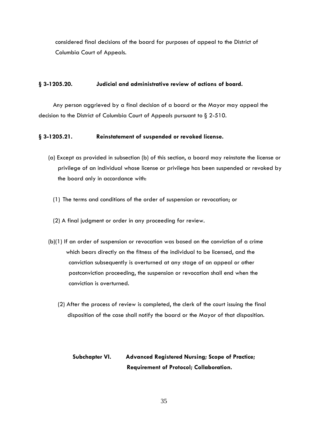considered final decisions of the board for purposes of appeal to the District of Columbia Court of Appeals.

#### **§ 3-1205.20. Judicial and administrative review of actions of board.**

Any person aggrieved by a final decision of a board or the Mayor may appeal the decision to the District of Columbia Court of Appeals pursuant to § 2-510.

#### **§ 3-1205.21. Reinstatement of suspended or revoked license.**

- (a) Except as provided in subsection (b) of this section, a board may reinstate the license or privilege of an individual whose license or privilege has been suspended or revoked by the board only in accordance with:
	- (1) The terms and conditions of the order of suspension or revocation; or
	- (2) A final judgment or order in any proceeding for review.
- (b)(1) If an order of suspension or revocation was based on the conviction of a crime which bears directly on the fitness of the individual to be licensed, and the conviction subsequently is overturned at any stage of an appeal or other postconviction proceeding, the suspension or revocation shall end when the conviction is overturned.
	- (2) After the process of review is completed, the clerk of the court issuing the final disposition of the case shall notify the board or the Mayor of that disposition.

### **Subchapter VI. Advanced Registered Nursing; Scope of Practice; Requirement of Protocol; Collaboration.**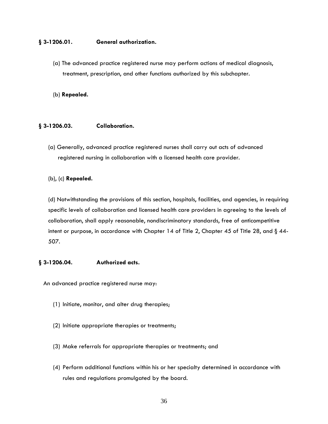#### **§ 3-1206.01. General authorization.**

(a) The advanced practice registered nurse may perform actions of medical diagnosis, treatment, prescription, and other functions authorized by this subchapter.

(b) **Repealed.**

#### **§ 3-1206.03. Collaboration.**

(a) Generally, advanced practice registered nurses shall carry out acts of advanced registered nursing in collaboration with a licensed health care provider.

#### (b), (c) **Repealed.**

(d) Notwithstanding the provisions of this section, hospitals, facilities, and agencies, in requiring specific levels of collaboration and licensed health care providers in agreeing to the levels of collaboration, shall apply reasonable, nondiscriminatory standards, free of anticompetitive intent or purpose, in accordance with Chapter 14 of Title 2, Chapter 45 of Title 28, and  $\S$  44-507.

#### **§ 3-1206.04. Authorized acts.**

An advanced practice registered nurse may:

- (1) Initiate, monitor, and alter drug therapies;
- (2) Initiate appropriate therapies or treatments;
- (3) Make referrals for appropriate therapies or treatments; and
- (4) Perform additional functions within his or her specialty determined in accordance with rules and regulations promulgated by the board.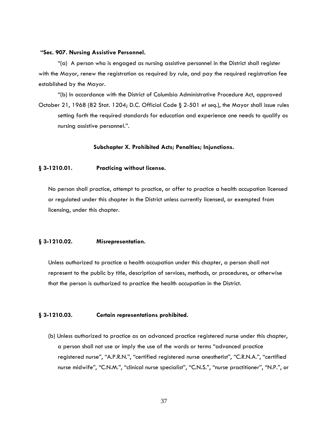#### **"Sec. 907. Nursing Assistive Personnel.**

"(a) A person who is engaged as nursing assistive personnel in the District shall register with the Mayor, renew the registration as required by rule, and pay the required registration fee established by the Mayor.

"(b) In accordance with the District of Columbia Administrative Procedure Act, approved October 21, 1968 (82 Stat. 1204; D.C. Official Code § 2-501 *et seq.*), the Mayor shall issue rules setting forth the required standards for education and experience one needs to qualify as nursing assistive personnel.".

#### **Subchapter X. Prohibited Acts; Penalties; Injunctions.**

#### **§ 3-1210.01. Practicing without license.**

No person shall practice, attempt to practice, or offer to practice a health occupation licensed or regulated under this chapter in the District unless currently licensed, or exempted from licensing, under this chapter.

#### **§ 3-1210.02. Misrepresentation.**

Unless authorized to practice a health occupation under this chapter, a person shall not represent to the public by title, description of services, methods, or procedures, or otherwise that the person is authorized to practice the health occupation in the District.

#### **§ 3-1210.03. Certain representations prohibited.**

(b) Unless authorized to practice as an advanced practice registered nurse under this chapter, a person shall not use or imply the use of the words or terms "advanced practice registered nurse", "A.P.R.N.", "certified registered nurse anesthetist", "C.R.N.A.", "certified nurse midwife", "C.N.M.", "clinical nurse specialist", "C.N.S.", "nurse practitioner", "N.P.", or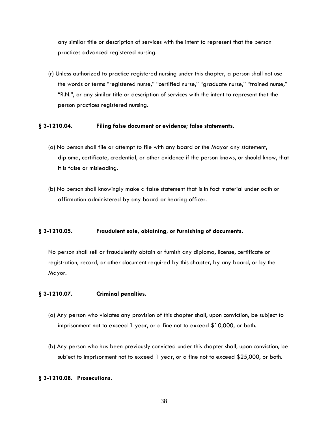any similar title or description of services with the intent to represent that the person practices advanced registered nursing.

(r) Unless authorized to practice registered nursing under this chapter, a person shall not use the words or terms "registered nurse," "certified nurse," "graduate nurse," "trained nurse," "R.N.", or any similar title or description of services with the intent to represent that the person practices registered nursing.

#### **§ 3-1210.04. Filing false document or evidence; false statements.**

- (a) No person shall file or attempt to file with any board or the Mayor any statement, diploma, certificate, credential, or other evidence if the person knows, or should know, that it is false or misleading.
- (b) No person shall knowingly make a false statement that is in fact material under oath or affirmation administered by any board or hearing officer.

#### **§ 3-1210.05. Fraudulent sale, obtaining, or furnishing of documents.**

No person shall sell or fraudulently obtain or furnish any diploma, license, certificate or registration, record, or other document required by this chapter, by any board, or by the Mayor.

#### **§ 3-1210.07. Criminal penalties.**

- (a) Any person who violates any provision of this chapter shall, upon conviction, be subject to imprisonment not to exceed 1 year, or a fine not to exceed \$10,000, or both.
- (b) Any person who has been previously convicted under this chapter shall, upon conviction, be subject to imprisonment not to exceed 1 year, or a fine not to exceed \$25,000, or both.

#### **§ 3-1210.08. Prosecutions.**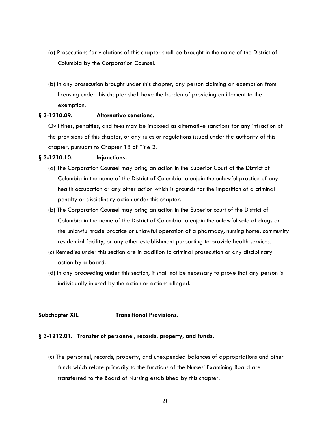- (a) Prosecutions for violations of this chapter shall be brought in the name of the District of Columbia by the Corporation Counsel.
- (b) In any prosecution brought under this chapter, any person claiming an exemption from licensing under this chapter shall have the burden of providing entitlement to the exemption.

#### **§ 3-1210.09. Alternative sanctions.**

Civil fines, penalties, and fees may be imposed as alternative sanctions for any infraction of the provisions of this chapter, or any rules or regulations issued under the authority of this chapter, pursuant to Chapter 18 of Title 2.

#### **§ 3-1210.10. Injunctions.**

- (a) The Corporation Counsel may bring an action in the Superior Court of the District of Columbia in the name of the District of Columbia to enjoin the unlawful practice of any health occupation or any other action which is grounds for the imposition of a criminal penalty or disciplinary action under this chapter.
- (b) The Corporation Counsel may bring an action in the Superior court of the District of Columbia in the name of the District of Columbia to enjoin the unlawful sale of drugs or the unlawful trade practice or unlawful operation of a pharmacy, nursing home, community residential facility, or any other establishment purporting to provide health services.
- (c) Remedies under this section are in addition to criminal prosecution or any disciplinary action by a board.
- (d) In any proceeding under this section, it shall not be necessary to prove that any person is individually injured by the action or actions alleged.

#### **Subchapter XII. Transitional Provisions.**

#### **§ 3-1212.01. Transfer of personnel, records, property, and funds.**

(c) The personnel, records, property, and unexpended balances of appropriations and other funds which relate primarily to the functions of the Nurses' Examining Board are transferred to the Board of Nursing established by this chapter.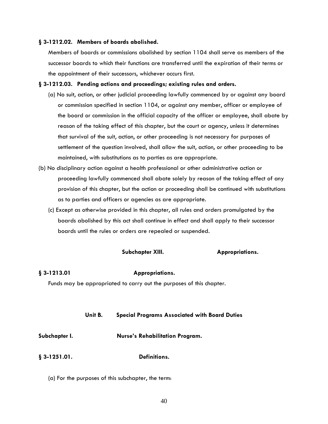#### **§ 3-1212.02. Members of boards abolished.**

Members of boards or commissions abolished by section 1104 shall serve as members of the successor boards to which their functions are transferred until the expiration of their terms or the appointment of their successors, whichever occurs first.

#### **§ 3-1212.03. Pending actions and proceedings; existing rules and orders.**

- (a) No suit, action, or other judicial proceeding lawfully commenced by or against any board or commission specified in section 1104, or against any member, officer or employee of the board or commission in the official capacity of the officer or employee, shall abate by reason of the taking effect of this chapter, but the court or agency, unless it determines that survival of the suit, action, or other proceeding is not necessary for purposes of settlement of the question involved, shall allow the suit, action, or other proceeding to be maintained, with substitutions as to parties as are appropriate.
- (b) No disciplinary action against a health professional or other administrative action or proceeding lawfully commenced shall abate solely by reason of the taking effect of any provision of this chapter, but the action or proceeding shall be continued with substitutions as to parties and officers or agencies as are appropriate.
	- (c) Except as otherwise provided in this chapter, all rules and orders promulgated by the boards abolished by this act shall continue in effect and shall apply to their successor boards until the rules or orders are repealed or suspended.

#### **Subchapter XIII. Appropriations.**

#### **§ 3-1213.01 Appropriations.**

Funds may be appropriated to carry out the purposes of this chapter.

#### **Unit B. Special Programs Associated with Board Duties**

#### **Subchapter I. Nurse's Rehabilitation Program.**

#### **§ 3-1251.01. Definitions.**

(a) For the purposes of this subchapter, the term: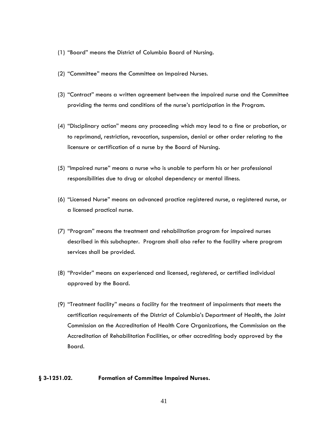- (1) "Board" means the District of Columbia Board of Nursing.
- (2) "Committee" means the Committee on Impaired Nurses.
- (3) "Contract" means a written agreement between the impaired nurse and the Committee providing the terms and conditions of the nurse's participation in the Program.
- (4) "Disciplinary action" means any proceeding which may lead to a fine or probation, or to reprimand, restriction, revocation, suspension, denial or other order relating to the licensure or certification of a nurse by the Board of Nursing.
- (5) "Impaired nurse" means a nurse who is unable to perform his or her professional responsibilities due to drug or alcohol dependency or mental illness.
- (6) "Licensed Nurse" means an advanced practice registered nurse, a registered nurse, or a licensed practical nurse.
- (7) "Program" means the treatment and rehabilitation program for impaired nurses described in this subchapter. Program shall also refer to the facility where program services shall be provided.
- (8) "Provider" means an experienced and licensed, registered, or certified individual approved by the Board.
- (9) "Treatment facility" means a facility for the treatment of impairments that meets the certification requirements of the District of Columbia's Department of Health, the Joint Commission on the Accreditation of Health Care Organizations, the Commission on the Accreditation of Rehabilitation Facilities, or other accrediting body approved by the Board.

#### **§ 3-1251.02. Formation of Committee Impaired Nurses.**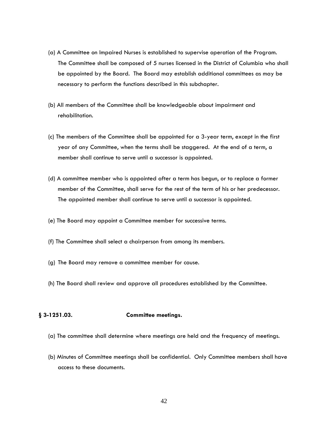- (a) A Committee on Impaired Nurses is established to supervise operation of the Program. The Committee shall be composed of 5 nurses licensed in the District of Columbia who shall be appointed by the Board. The Board may establish additional committees as may be necessary to perform the functions described in this subchapter.
- (b) All members of the Committee shall be knowledgeable about impairment and rehabilitation.
- (c) The members of the Committee shall be appointed for a 3-year term, except in the first year of any Committee, when the terms shall be staggered. At the end of a term, a member shall continue to serve until a successor is appointed.
- (d) A committee member who is appointed after a term has begun, or to replace a former member of the Committee, shall serve for the rest of the term of his or her predecessor. The appointed member shall continue to serve until a successor is appointed.
- (e) The Board may appoint a Committee member for successive terms.
- (f) The Committee shall select a chairperson from among its members.
- (g) The Board may remove a committee member for cause.
- (h) The Board shall review and approve all procedures established by the Committee.

#### **§ 3-1251.03. Committee meetings.**

- (a) The committee shall determine where meetings are held and the frequency of meetings.
- (b) Minutes of Committee meetings shall be confidential. Only Committee members shall have access to these documents.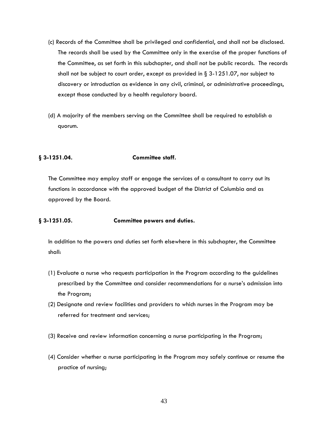- (c) Records of the Committee shall be privileged and confidential, and shall not be disclosed. The records shall be used by the Committee only in the exercise of the proper functions of the Committee, as set forth in this subchapter, and shall not be public records. The records shall not be subject to court order, except as provided in  $\S 3-1251.07$ , nor subject to discovery or introduction as evidence in any civil, criminal, or administrative proceedings, except those conducted by a health regulatory board.
- (d) A majority of the members serving on the Committee shall be required to establish a quorum.

#### **§ 3-1251.04. Committee staff.**

The Committee may employ staff or engage the services of a consultant to carry out its functions in accordance with the approved budget of the District of Columbia and as approved by the Board.

### **§ 3-1251.05. Committee powers and duties.**

In addition to the powers and duties set forth elsewhere in this subchapter, the Committee shall:

- (1) Evaluate a nurse who requests participation in the Program according to the guidelines prescribed by the Committee and consider recommendations for a nurse's admission into the Program;
- (2) Designate and review facilities and providers to which nurses in the Program may be referred for treatment and services;
- (3) Receive and review information concerning a nurse participating in the Program;
- (4) Consider whether a nurse participating in the Program may safely continue or resume the practice of nursing;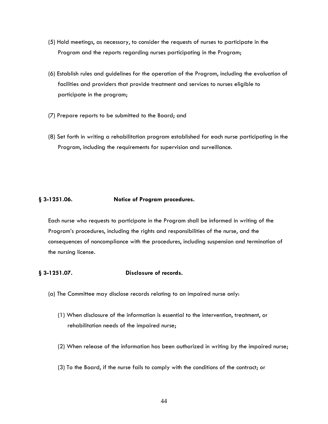- (5) Hold meetings, as necessary, to consider the requests of nurses to participate in the Program and the reports regarding nurses participating in the Program;
- (6) Establish rules and guidelines for the operation of the Program, including the evaluation of facilities and providers that provide treatment and services to nurses eligible to participate in the program;
- (7) Prepare reports to be submitted to the Board; and
- (8) Set forth in writing a rehabilitation program established for each nurse participating in the Program, including the requirements for supervision and surveillance.

#### **§ 3-1251.06. Notice of Program procedures.**

Each nurse who requests to participate in the Program shall be informed in writing of the Program's procedures, including the rights and responsibilities of the nurse, and the consequences of noncompliance with the procedures, including suspension and termination of the nursing license.

#### **§ 3-1251.07. Disclosure of records.**

- (a) The Committee may disclose records relating to an impaired nurse only:
	- (1) When disclosure of the information is essential to the intervention, treatment, or rehabilitation needs of the impaired nurse;
	- (2) When release of the information has been authorized in writing by the impaired nurse;
	- (3) To the Board, if the nurse fails to comply with the conditions of the contract; or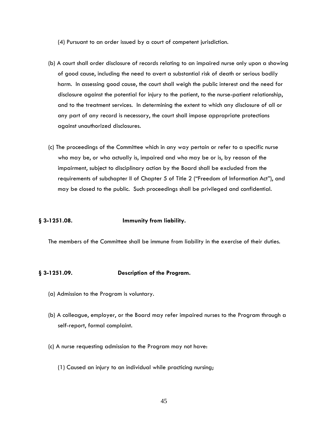(4) Pursuant to an order issued by a court of competent jurisdiction.

- (b) A court shall order disclosure of records relating to an impaired nurse only upon a showing of good cause, including the need to avert a substantial risk of death or serious bodily harm. In assessing good cause, the court shall weigh the public interest and the need for disclosure against the potential for injury to the patient, to the nurse-patient relationship, and to the treatment services. In determining the extent to which any disclosure of all or any part of any record is necessary, the court shall impose appropriate protections against unauthorized disclosures.
- (c) The proceedings of the Committee which in any way pertain or refer to a specific nurse who may be, or who actually is, impaired and who may be or is, by reason of the impairment, subject to disciplinary action by the Board shall be excluded from the requirements of subchapter II of Chapter 5 of Title 2 ("Freedom of Information Act"), and may be closed to the public. Such proceedings shall be privileged and confidential.

#### **§ 3-1251.08. Immunity from liability.**

The members of the Committee shall be immune from liability in the exercise of their duties.

#### **§ 3-1251.09. Description of the Program.**

- (a) Admission to the Program is voluntary.
- (b) A colleague, employer, or the Board may refer impaired nurses to the Program through a self-report, formal complaint.
- (c) A nurse requesting admission to the Program may not have:
	- (1) Caused an injury to an individual while practicing nursing;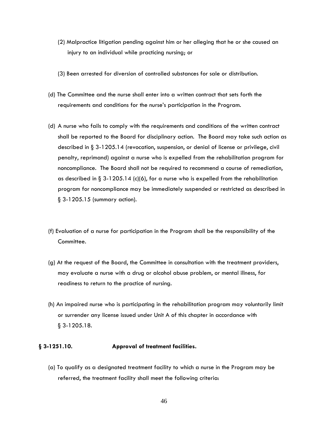- (2) Malpractice litigation pending against him or her alleging that he or she caused an injury to an individual while practicing nursing; or
- (3) Been arrested for diversion of controlled substances for sale or distribution.
- (d) The Committee and the nurse shall enter into a written contract that sets forth the requirements and conditions for the nurse's participation in the Program.
- (d) A nurse who fails to comply with the requirements and conditions of the written contract shall be reported to the Board for disciplinary action. The Board may take such action as described in § 3-1205.14 (revocation, suspension, or denial of license or privilege, civil penalty, reprimand) against a nurse who is expelled from the rehabilitation program for noncompliance. The Board shall not be required to recommend a course of remediation, as described in  $\S 3-1205.14$  (c)(6), for a nurse who is expelled from the rehabilitation program for noncompliance may be immediately suspended or restricted as described in § 3-1205.15 (summary action).
- (f) Evaluation of a nurse for participation in the Program shall be the responsibility of the Committee.
- (g) At the request of the Board, the Committee in consultation with the treatment providers, may evaluate a nurse with a drug or alcohol abuse problem, or mental illness, for readiness to return to the practice of nursing.
- (h) An impaired nurse who is participating in the rehabilitation program may voluntarily limit or surrender any license issued under Unit A of this chapter in accordance with § 3-1205.18.

#### **§ 3-1251.10. Approval of treatment facilities.**

(a) To qualify as a designated treatment facility to which a nurse in the Program may be referred, the treatment facility shall meet the following criteria: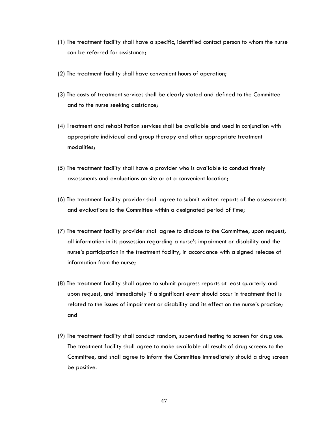- (1) The treatment facility shall have a specific, identified contact person to whom the nurse can be referred for assistance;
- (2) The treatment facility shall have convenient hours of operation;
- (3) The costs of treatment services shall be clearly stated and defined to the Committee and to the nurse seeking assistance;
- (4) Treatment and rehabilitation services shall be available and used in conjunction with appropriate individual and group therapy and other appropriate treatment modalities;
- (5) The treatment facility shall have a provider who is available to conduct timely assessments and evaluations on site or at a convenient location;
- (6) The treatment facility provider shall agree to submit written reports of the assessments and evaluations to the Committee within a designated period of time;
- (7) The treatment facility provider shall agree to disclose to the Committee, upon request, all information in its possession regarding a nurse's impairment or disability and the nurse's participation in the treatment facility, in accordance with a signed release of information from the nurse;
- (8) The treatment facility shall agree to submit progress reports at least quarterly and upon request, and immediately if a significant event should occur in treatment that is related to the issues of impairment or disability and its effect on the nurse's practice; and
- (9) The treatment facility shall conduct random, supervised testing to screen for drug use. The treatment facility shall agree to make available all results of drug screens to the Committee, and shall agree to inform the Committee immediately should a drug screen be positive.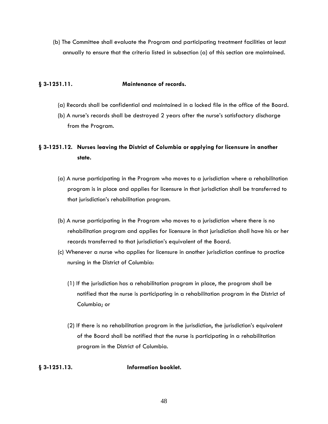(b) The Committee shall evaluate the Program and participating treatment facilities at least annually to ensure that the criteria listed in subsection (a) of this section are maintained.

#### **§ 3-1251.11. Maintenance of records.**

- (a) Records shall be confidential and maintained in a locked file in the office of the Board.
- (b) A nurse's records shall be destroyed 2 years after the nurse's satisfactory discharge from the Program.

### **§ 3-1251.12. Nurses leaving the District of Columbia or applying for licensure in another state.**

- (a) A nurse participating in the Program who moves to a jurisdiction where a rehabilitation program is in place and applies for licensure in that jurisdiction shall be transferred to that jurisdiction's rehabilitation program.
- (b) A nurse participating in the Program who moves to a jurisdiction where there is no rehabilitation program and applies for licensure in that jurisdiction shall have his or her records transferred to that jurisdiction's equivalent of the Board.
- (c) Whenever a nurse who applies for licensure in another jurisdiction continue to practice nursing in the District of Columbia:
	- (1) If the jurisdiction has a rehabilitation program in place, the program shall be notified that the nurse is participating in a rehabilitation program in the District of Columbia; or
	- (2) If there is no rehabilitation program in the jurisdiction, the jurisdiction's equivalent of the Board shall be notified that the nurse is participating in a rehabilitation program in the District of Columbia.

#### **§ 3-1251.13. Information booklet.**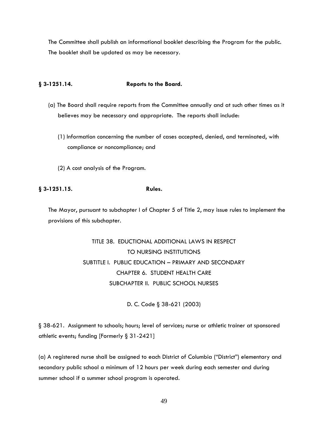The Committee shall publish an informational booklet describing the Program for the public. The booklet shall be updated as may be necessary.

#### **§ 3-1251.14. Reports to the Board.**

- (a) The Board shall require reports from the Committee annually and at such other times as it believes may be necessary and appropriate. The reports shall include:
	- (1) Information concerning the number of cases accepted, denied, and terminated, with compliance or noncompliance; and
	- (2) A cost analysis of the Program.

### **§ 3-1251.15. Rules.**

The Mayor, pursuant to subchapter I of Chapter 5 of Title 2, may issue rules to implement the provisions of this subchapter.

> TITLE 38. EDUCTIONAL ADDITIONAL LAWS IN RESPECT TO NURSING INSTITUTIONS SUBTITLE I. PUBLIC EDUCATION – PRIMARY AND SECONDARY CHAPTER 6. STUDENT HEALTH CARE SUBCHAPTER II. PUBLIC SCHOOL NURSES

> > D. C. Code § 38-621 (2003)

§ 38-621. Assignment to schools; hours; level of services; nurse or athletic trainer at sponsored athletic events; funding [Formerly § 31-2421]

(a) A registered nurse shall be assigned to each District of Columbia ("District") elementary and secondary public school a minimum of 12 hours per week during each semester and during summer school if a summer school program is operated.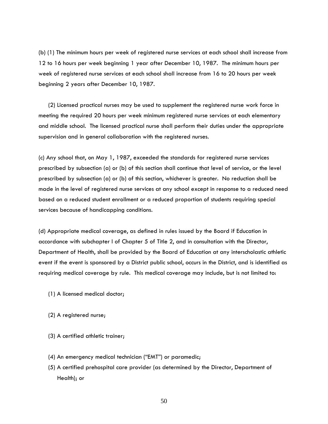(b) (1) The minimum hours per week of registered nurse services at each school shall increase from 12 to 16 hours per week beginning 1 year after December 10, 1987. The minimum hours per week of registered nurse services at each school shall increase from 16 to 20 hours per week beginning 2 years after December 10, 1987.

(2) Licensed practical nurses may be used to supplement the registered nurse work force in meeting the required 20 hours per week minimum registered nurse services at each elementary and middle school. The licensed practical nurse shall perform their duties under the appropriate supervision and in general collaboration with the registered nurses.

(c) Any school that, on May 1, 1987, exceeded the standards for registered nurse services prescribed by subsection (a) or (b) of this section shall continue that level of service, or the level prescribed by subsection (a) or (b) of this section, whichever is greater. No reduction shall be made in the level of registered nurse services at any school except in response to a reduced need based on a reduced student enrollment or a reduced proportion of students requiring special services because of handicapping conditions.

(d) Appropriate medical coverage, as defined in rules issued by the Board if Education in accordance with subchapter I of Chapter 5 of Title 2, and in consultation with the Director, Department of Health, shall be provided by the Board of Education at any interscholastic athletic event if the event is sponsored by a District public school, occurs in the District, and is identified as requiring medical coverage by rule. This medical coverage may include, but is not limited to:

- (1) A licensed medical doctor;
- (2) A registered nurse;
- (3) A certified athletic trainer;
- (4) An emergency medical technician ("EMT") or paramedic;
- (5) A certified prehospital care provider (as determined by the Director, Department of Health); or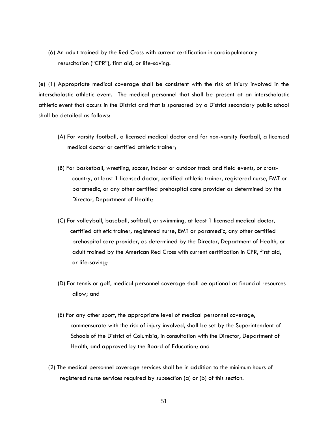(6) An adult trained by the Red Cross with current certification in cardiopulmonary resuscitation ("CPR"), first aid, or life-saving.

(e) (1) Appropriate medical coverage shall be consistent with the risk of injury involved in the interscholastic athletic event. The medical personnel that shall be present at an interscholastic athletic event that occurs in the District and that is sponsored by a District secondary public school shall be detailed as follows:

- (A) For varsity football, a licensed medical doctor and for non-varsity football, a licensed medical doctor or certified athletic trainer;
- (B) For basketball, wrestling, soccer, indoor or outdoor track and field events, or cross country, at least 1 licensed doctor, certified athletic trainer, registered nurse, EMT or paramedic, or any other certified prehospital care provider as determined by the Director, Department of Health;
- (C) For volleyball, baseball, softball, or swimming, at least 1 licensed medical doctor, certified athletic trainer, registered nurse, EMT or paramedic, any other certified prehospital care provider, as determined by the Director, Department of Health, or adult trained by the American Red Cross with current certification in CPR, first aid, or life-saving;
- (D) For tennis or golf, medical personnel coverage shall be optional as financial resources allow; and
- (E) For any other sport, the appropriate level of medical personnel coverage, commensurate with the risk of injury involved, shall be set by the Superintendent of Schools of the District of Columbia, in consultation with the Director, Department of Health, and approved by the Board of Education; and
- (2) The medical personnel coverage services shall be in addition to the minimum hours of registered nurse services required by subsection (a) or (b) of this section.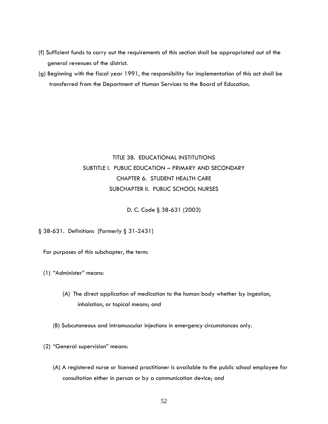- (f) Sufficient funds to carry out the requirements of this section shall be appropriated out of the general revenues of the district.
- (g) Beginning with the fiscal year 1991, the responsibility for implementation of this act shall be transferred from the Department of Human Services to the Board of Education.

## TITLE 38. EDUCATIONAL INSTITUTIONS SUBTITLE I. PUBLIC EDUCATION – PRIMARY AND SECONDARY CHAPTER 6. STUDENT HEALTH CARE SUBCHAPTER II. PUBLIC SCHOOL NURSES

D. C. Code § 38-631 (2003)

§ 38-631. Definitions [Formerly § 31-2431]

For purposes of this subchapter, the term:

- (1) "Administer" means:
	- (A) The direct application of medication to the human body whether by ingestion, inhalation, or topical means; and
	- (B) Subcutaneous and intramuscular injections in emergency circumstances only.
- (2) "General supervision" means:
	- (A) A registered nurse or licensed practitioner is available to the public school employee for consultation either in person or by a communication device; and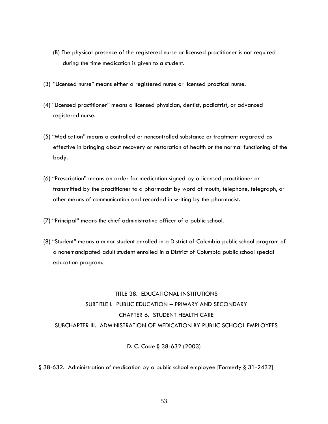- (B) The physical presence of the registered nurse or licensed practitioner is not required during the time medication is given to a student.
- (3) "Licensed nurse" means either a registered nurse or licensed practical nurse.
- (4) "Licensed practitioner" means a licensed physician, dentist, podiatrist, or advanced registered nurse.
- (5) "Medication" means a controlled or noncontrolled substance or treatment regarded as effective in bringing about recovery or restoration of health or the normal functioning of the body.
- (6) "Prescription" means an order for medication signed by a licensed practitioner or transmitted by the practitioner to a pharmacist by word of mouth, telephone, telegraph, or other means of communication and recorded in writing by the pharmacist.
- (7) "Principal" means the chief administrative officer of a public school.
- (8) "Student" means a minor student enrolled in a District of Columbia public school program of a nonemancipated adult student enrolled in a District of Columbia public school special education program.

## TITLE 38. EDUCATIONAL INSTITUTIONS SUBTITLE I. PUBLIC EDUCATION – PRIMARY AND SECONDARY CHAPTER 6. STUDENT HEALTH CARE SUBCHAPTER III. ADMINISTRATION OF MEDICATION BY PUBLIC SCHOOL EMPLOYEES

### D. C. Code § 38-632 (2003)

#### § 38-632. Administration of medication by a public school employee [Formerly § 31-2432]